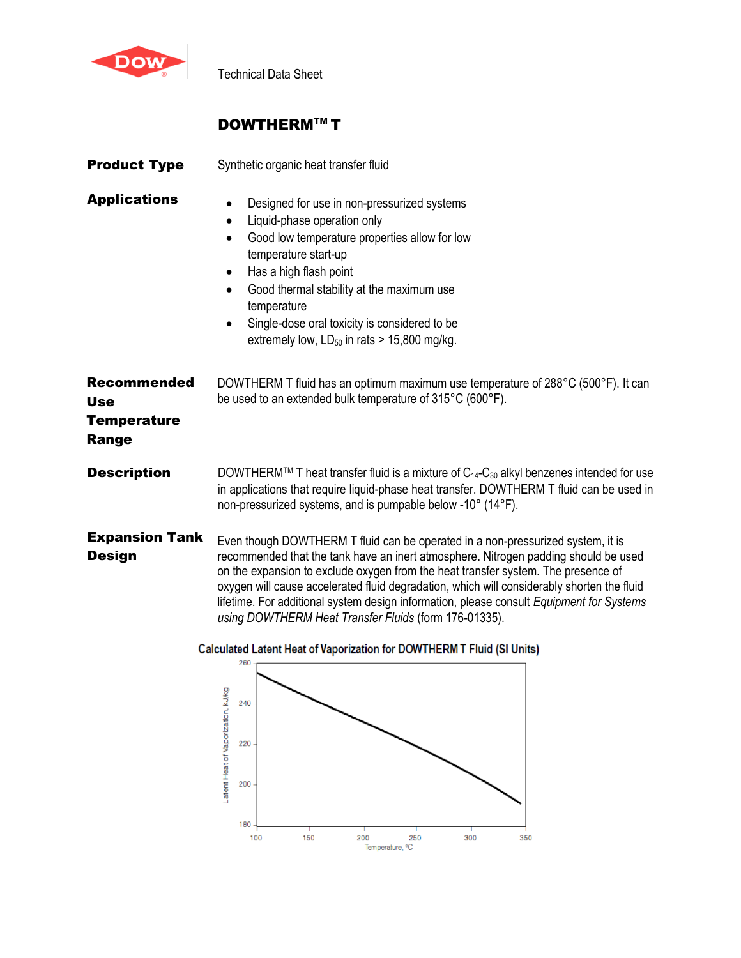

Technical Data Sheet

# **DOWTHERM™T**

| <b>Product Type</b>                                             | Synthetic organic heat transfer fluid                                                                                                                                                                                                                                                                                                                                                                                                                                                                          |  |  |  |
|-----------------------------------------------------------------|----------------------------------------------------------------------------------------------------------------------------------------------------------------------------------------------------------------------------------------------------------------------------------------------------------------------------------------------------------------------------------------------------------------------------------------------------------------------------------------------------------------|--|--|--|
| <b>Applications</b>                                             | Designed for use in non-pressurized systems<br>$\bullet$<br>Liquid-phase operation only<br>٠<br>Good low temperature properties allow for low<br>$\bullet$<br>temperature start-up<br>Has a high flash point<br>$\bullet$<br>Good thermal stability at the maximum use<br>temperature<br>Single-dose oral toxicity is considered to be<br>٠<br>extremely low, $LD_{50}$ in rats > 15,800 mg/kg.                                                                                                                |  |  |  |
| <b>Recommended</b><br><b>Use</b><br><b>Temperature</b><br>Range | DOWTHERM T fluid has an optimum maximum use temperature of 288°C (500°F). It can<br>be used to an extended bulk temperature of 315°C (600°F).                                                                                                                                                                                                                                                                                                                                                                  |  |  |  |
| <b>Description</b>                                              | DOWTHERM™ T heat transfer fluid is a mixture of C <sub>14</sub> -C <sub>30</sub> alkyl benzenes intended for use<br>in applications that require liquid-phase heat transfer. DOWTHERM T fluid can be used in<br>non-pressurized systems, and is pumpable below -10° (14°F).                                                                                                                                                                                                                                    |  |  |  |
| <b>Expansion Tank</b><br><b>Design</b>                          | Even though DOWTHERM T fluid can be operated in a non-pressurized system, it is<br>recommended that the tank have an inert atmosphere. Nitrogen padding should be used<br>on the expansion to exclude oxygen from the heat transfer system. The presence of<br>oxygen will cause accelerated fluid degradation, which will considerably shorten the fluid<br>lifetime. For additional system design information, please consult Equipment for Systems<br>using DOWTHERM Heat Transfer Fluids (form 176-01335). |  |  |  |



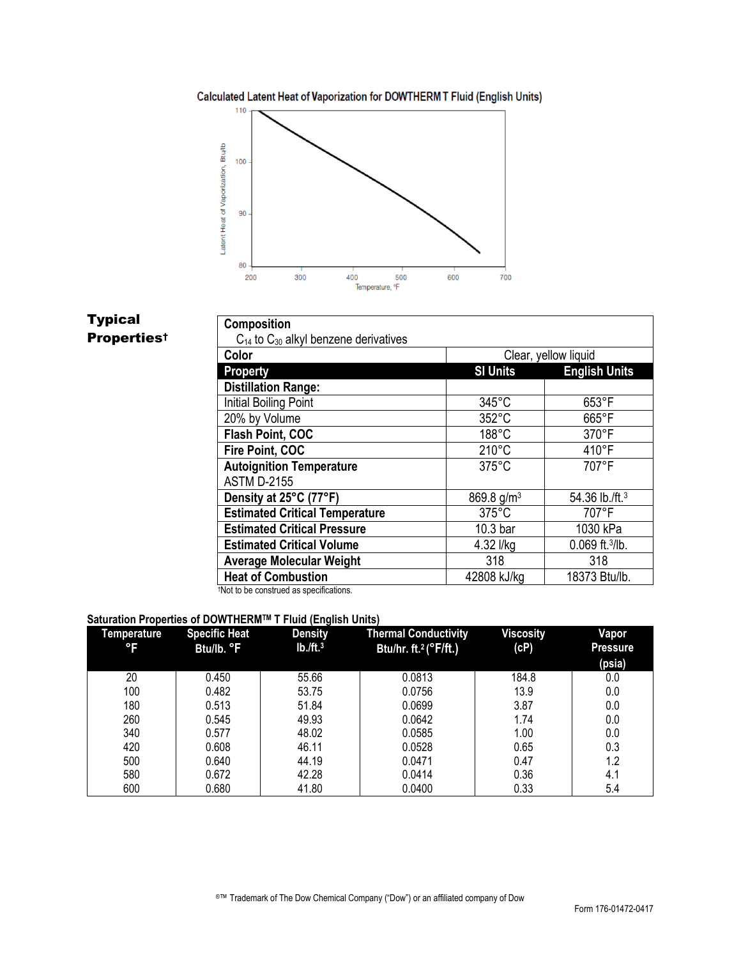## Calculated Latent Heat of Vaporization for DOWTHERM T Fluid (English Units)



# Typical **Propertiest**

| Composition                                    |                        |                      |  |  |  |  |  |
|------------------------------------------------|------------------------|----------------------|--|--|--|--|--|
| $C_{14}$ to $C_{30}$ alkyl benzene derivatives |                        |                      |  |  |  |  |  |
| Color                                          | Clear, yellow liquid   |                      |  |  |  |  |  |
| <b>Property</b>                                | <b>SI Units</b>        | <b>English Units</b> |  |  |  |  |  |
| <b>Distillation Range:</b>                     |                        |                      |  |  |  |  |  |
| Initial Boiling Point                          | $345^{\circ}$ C        | $653^{\circ}$ F      |  |  |  |  |  |
| 20% by Volume                                  | 352°C                  | $665^{\circ}$ F      |  |  |  |  |  |
| Flash Point, COC                               | 188°C                  | 370°F                |  |  |  |  |  |
| Fire Point, COC                                | $210^{\circ}$ C        | 410°F                |  |  |  |  |  |
| <b>Autoignition Temperature</b>                | $375^{\circ}$ C        | 707°F                |  |  |  |  |  |
| <b>ASTM D-2155</b>                             |                        |                      |  |  |  |  |  |
| Density at 25°C (77°F)                         | 869.8 g/m <sup>3</sup> | 54.36 lb./ft.3       |  |  |  |  |  |
| <b>Estimated Critical Temperature</b>          | $375^{\circ}$ C        | 707°F                |  |  |  |  |  |
| <b>Estimated Critical Pressure</b>             | 10.3 bar               | 1030 kPa             |  |  |  |  |  |
| <b>Estimated Critical Volume</b>               | 4.32 l/kg              | $0.069$ ft. $3$ /lb. |  |  |  |  |  |
| <b>Average Molecular Weight</b>                | 318                    | 318                  |  |  |  |  |  |
| <b>Heat of Combustion</b>                      | 42808 kJ/kg            | 18373 Btu/lb.        |  |  |  |  |  |

†Not to be construed as specifications.

## **Saturation Properties of DOWTHERMTM T Fluid (English Units)**

| Temperature<br>°F | <b>Specific Heat</b><br>Btu/lb. °F | . .<br><b>Density</b><br>$Ib./ft.^3$ | <b>Thermal Conductivity</b><br>Btu/hr. ft. <sup>2</sup> (°F/ft.) | <b>Viscosity</b><br>(cP) | Vapor<br><b>Pressure</b><br>(psia) |
|-------------------|------------------------------------|--------------------------------------|------------------------------------------------------------------|--------------------------|------------------------------------|
| 20                | 0.450                              | 55.66                                | 0.0813                                                           | 184.8                    | 0.0                                |
| 100               | 0.482                              | 53.75                                | 0.0756                                                           | 13.9                     | 0.0                                |
| 180               | 0.513                              | 51.84                                | 0.0699                                                           | 3.87                     | 0.0                                |
| 260               | 0.545                              | 49.93                                | 0.0642                                                           | 1.74                     | 0.0                                |
| 340               | 0.577                              | 48.02                                | 0.0585                                                           | 1.00                     | 0.0                                |
| 420               | 0.608                              | 46.11                                | 0.0528                                                           | 0.65                     | 0.3                                |
| 500               | 0.640                              | 44.19                                | 0.0471                                                           | 0.47                     | 1.2                                |
| 580               | 0.672                              | 42.28                                | 0.0414                                                           | 0.36                     | 4.1                                |
| 600               | 0.680                              | 41.80                                | 0.0400                                                           | 0.33                     | 5.4                                |